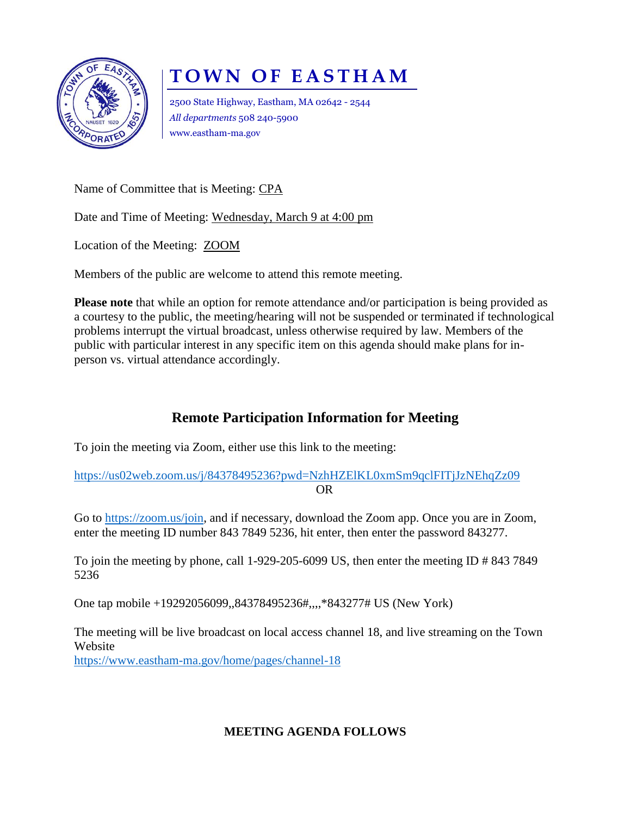

## **TOWN OF EASTHAM**

2500 State Highway, Eastham, MA 02642 - 2544 *All departments* 508 240-5900 www.eastham-ma.gov

Name of Committee that is Meeting: CPA

Date and Time of Meeting: Wednesday, March 9 at 4:00 pm

Location of the Meeting: ZOOM

Members of the public are welcome to attend this remote meeting.

**Please note** that while an option for remote attendance and/or participation is being provided as a courtesy to the public, the meeting/hearing will not be suspended or terminated if technological problems interrupt the virtual broadcast, unless otherwise required by law. Members of the public with particular interest in any specific item on this agenda should make plans for inperson vs. virtual attendance accordingly.

## **Remote Participation Information for Meeting**

To join the meeting via Zoom, either use this link to the meeting:

<https://us02web.zoom.us/j/84378495236?pwd=NzhHZElKL0xmSm9qclFITjJzNEhqZz09> OR

Go to [https://zoom.us/join,](https://zoom.us/join) and if necessary, download the Zoom app. Once you are in Zoom, enter the meeting ID number 843 7849 5236, hit enter, then enter the password 843277.

To join the meeting by phone, call 1-929-205-6099 US, then enter the meeting ID # 843 7849 5236

One tap mobile +19292056099,,84378495236#,,,,\*843277# US (New York)

The meeting will be live broadcast on local access channel 18, and live streaming on the Town Website <https://www.eastham-ma.gov/home/pages/channel-18>

## **MEETING AGENDA FOLLOWS**